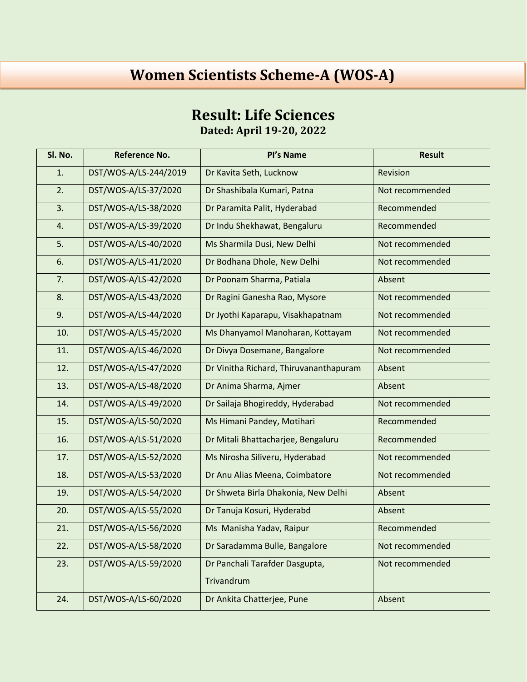## **Women Scientists Scheme-A (WOS-A)**

## **Result: Life Sciences**

**Dated: April 19-20, 2022**

| Sl. No. | <b>Reference No.</b>  | Pl's Name                              | <b>Result</b>   |
|---------|-----------------------|----------------------------------------|-----------------|
| 1.      | DST/WOS-A/LS-244/2019 | Dr Kavita Seth, Lucknow                | Revision        |
| 2.      | DST/WOS-A/LS-37/2020  | Dr Shashibala Kumari, Patna            | Not recommended |
| 3.      | DST/WOS-A/LS-38/2020  | Dr Paramita Palit, Hyderabad           | Recommended     |
| 4.      | DST/WOS-A/LS-39/2020  | Dr Indu Shekhawat, Bengaluru           | Recommended     |
| 5.      | DST/WOS-A/LS-40/2020  | Ms Sharmila Dusi, New Delhi            | Not recommended |
| 6.      | DST/WOS-A/LS-41/2020  | Dr Bodhana Dhole, New Delhi            | Not recommended |
| 7.      | DST/WOS-A/LS-42/2020  | Dr Poonam Sharma, Patiala              | Absent          |
| 8.      | DST/WOS-A/LS-43/2020  | Dr Ragini Ganesha Rao, Mysore          | Not recommended |
| 9.      | DST/WOS-A/LS-44/2020  | Dr Jyothi Kaparapu, Visakhapatnam      | Not recommended |
| 10.     | DST/WOS-A/LS-45/2020  | Ms Dhanyamol Manoharan, Kottayam       | Not recommended |
| 11.     | DST/WOS-A/LS-46/2020  | Dr Divya Dosemane, Bangalore           | Not recommended |
| 12.     | DST/WOS-A/LS-47/2020  | Dr Vinitha Richard, Thiruvananthapuram | Absent          |
| 13.     | DST/WOS-A/LS-48/2020  | Dr Anima Sharma, Ajmer                 | Absent          |
| 14.     | DST/WOS-A/LS-49/2020  | Dr Sailaja Bhogireddy, Hyderabad       | Not recommended |
| 15.     | DST/WOS-A/LS-50/2020  | Ms Himani Pandey, Motihari             | Recommended     |
| 16.     | DST/WOS-A/LS-51/2020  | Dr Mitali Bhattacharjee, Bengaluru     | Recommended     |
| 17.     | DST/WOS-A/LS-52/2020  | Ms Nirosha Siliveru, Hyderabad         | Not recommended |
| 18.     | DST/WOS-A/LS-53/2020  | Dr Anu Alias Meena, Coimbatore         | Not recommended |
| 19.     | DST/WOS-A/LS-54/2020  | Dr Shweta Birla Dhakonia, New Delhi    | Absent          |
| 20.     | DST/WOS-A/LS-55/2020  | Dr Tanuja Kosuri, Hyderabd             | Absent          |
| 21.     | DST/WOS-A/LS-56/2020  | Ms Manisha Yadav, Raipur               | Recommended     |
| 22.     | DST/WOS-A/LS-58/2020  | Dr Saradamma Bulle, Bangalore          | Not recommended |
| 23.     | DST/WOS-A/LS-59/2020  | Dr Panchali Tarafder Dasgupta,         | Not recommended |
|         |                       | Trivandrum                             |                 |
| 24.     | DST/WOS-A/LS-60/2020  | Dr Ankita Chatterjee, Pune             | Absent          |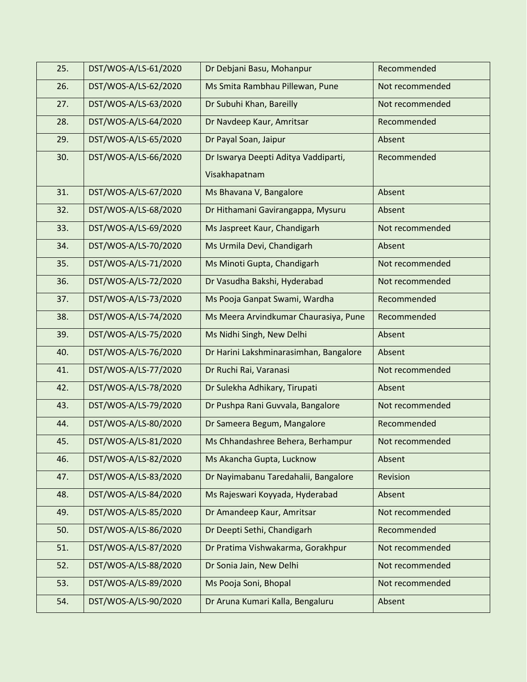| 25. | DST/WOS-A/LS-61/2020 | Dr Debjani Basu, Mohanpur              | Recommended     |
|-----|----------------------|----------------------------------------|-----------------|
| 26. | DST/WOS-A/LS-62/2020 | Ms Smita Rambhau Pillewan, Pune        | Not recommended |
| 27. | DST/WOS-A/LS-63/2020 | Dr Subuhi Khan, Bareilly               | Not recommended |
| 28. | DST/WOS-A/LS-64/2020 | Dr Navdeep Kaur, Amritsar              | Recommended     |
| 29. | DST/WOS-A/LS-65/2020 | Dr Payal Soan, Jaipur                  | Absent          |
| 30. | DST/WOS-A/LS-66/2020 | Dr Iswarya Deepti Aditya Vaddiparti,   | Recommended     |
|     |                      | Visakhapatnam                          |                 |
| 31. | DST/WOS-A/LS-67/2020 | Ms Bhavana V, Bangalore                | Absent          |
| 32. | DST/WOS-A/LS-68/2020 | Dr Hithamani Gavirangappa, Mysuru      | Absent          |
| 33. | DST/WOS-A/LS-69/2020 | Ms Jaspreet Kaur, Chandigarh           | Not recommended |
| 34. | DST/WOS-A/LS-70/2020 | Ms Urmila Devi, Chandigarh             | Absent          |
| 35. | DST/WOS-A/LS-71/2020 | Ms Minoti Gupta, Chandigarh            | Not recommended |
| 36. | DST/WOS-A/LS-72/2020 | Dr Vasudha Bakshi, Hyderabad           | Not recommended |
| 37. | DST/WOS-A/LS-73/2020 | Ms Pooja Ganpat Swami, Wardha          | Recommended     |
| 38. | DST/WOS-A/LS-74/2020 | Ms Meera Arvindkumar Chaurasiya, Pune  | Recommended     |
| 39. | DST/WOS-A/LS-75/2020 | Ms Nidhi Singh, New Delhi              | Absent          |
| 40. | DST/WOS-A/LS-76/2020 | Dr Harini Lakshminarasimhan, Bangalore | Absent          |
| 41. | DST/WOS-A/LS-77/2020 | Dr Ruchi Rai, Varanasi                 | Not recommended |
| 42. | DST/WOS-A/LS-78/2020 | Dr Sulekha Adhikary, Tirupati          | Absent          |
| 43. | DST/WOS-A/LS-79/2020 | Dr Pushpa Rani Guvvala, Bangalore      | Not recommended |
| 44. | DST/WOS-A/LS-80/2020 | Dr Sameera Begum, Mangalore            | Recommended     |
| 45. | DST/WOS-A/LS-81/2020 | Ms Chhandashree Behera, Berhampur      | Not recommended |
| 46. | DST/WOS-A/LS-82/2020 | Ms Akancha Gupta, Lucknow              | Absent          |
| 47. | DST/WOS-A/LS-83/2020 | Dr Nayimabanu Taredahalii, Bangalore   | Revision        |
| 48. | DST/WOS-A/LS-84/2020 | Ms Rajeswari Koyyada, Hyderabad        | Absent          |
| 49. | DST/WOS-A/LS-85/2020 | Dr Amandeep Kaur, Amritsar             | Not recommended |
| 50. | DST/WOS-A/LS-86/2020 | Dr Deepti Sethi, Chandigarh            | Recommended     |
| 51. | DST/WOS-A/LS-87/2020 | Dr Pratima Vishwakarma, Gorakhpur      | Not recommended |
| 52. | DST/WOS-A/LS-88/2020 | Dr Sonia Jain, New Delhi               | Not recommended |
| 53. | DST/WOS-A/LS-89/2020 | Ms Pooja Soni, Bhopal                  | Not recommended |
| 54. | DST/WOS-A/LS-90/2020 | Dr Aruna Kumari Kalla, Bengaluru       | Absent          |